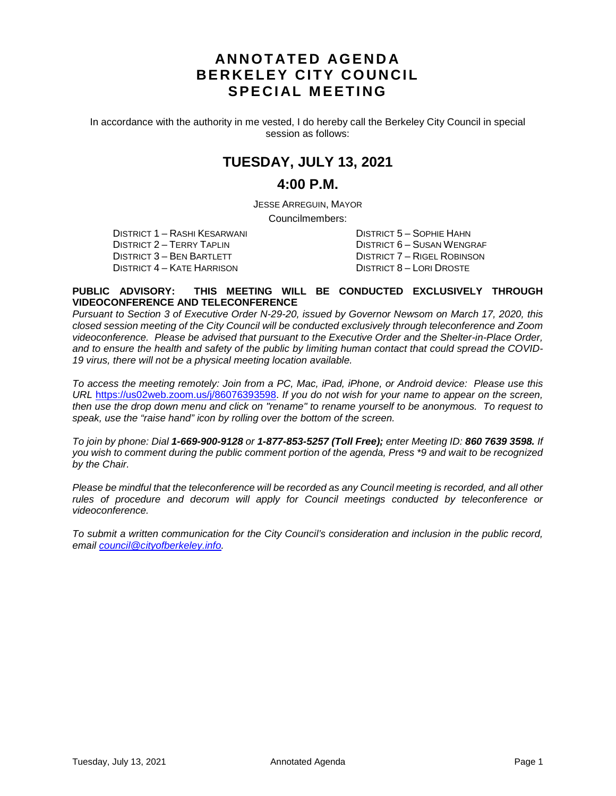# **ANNOTATED AGENDA BERKELEY CITY COUNCIL SPECIAL MEETING**

In accordance with the authority in me vested, I do hereby call the Berkeley City Council in special session as follows:

## **TUESDAY, JULY 13, 2021**

#### **4:00 P.M.**

JESSE ARREGUIN, MAYOR

Councilmembers:

DISTRICT 1 – RASHI KESARWANI DISTRICT 5 – SOPHIE HAHN DISTRICT 3 – BEN BARTLETT DISTRICT 7 – RIGEL ROBINSON DISTRICT 4 – KATE HARRISON DISTRICT 8 – LORI DROSTE

DISTRICT 6 – SUSAN WENGRAF

#### **PUBLIC ADVISORY: THIS MEETING WILL BE CONDUCTED EXCLUSIVELY THROUGH VIDEOCONFERENCE AND TELECONFERENCE**

*Pursuant to Section 3 of Executive Order N-29-20, issued by Governor Newsom on March 17, 2020, this closed session meeting of the City Council will be conducted exclusively through teleconference and Zoom videoconference. Please be advised that pursuant to the Executive Order and the Shelter-in-Place Order, and to ensure the health and safety of the public by limiting human contact that could spread the COVID-19 virus, there will not be a physical meeting location available.* 

*To access the meeting remotely: Join from a PC, Mac, iPad, iPhone, or Android device: Please use this URL* [https://us02web.zoom.us/j/86076393598.](https://us02web.zoom.us/j/86076393598) *If you do not wish for your name to appear on the screen, then use the drop down menu and click on "rename" to rename yourself to be anonymous. To request to speak, use the "raise hand" icon by rolling over the bottom of the screen.* 

*To join by phone: Dial 1-669-900-9128 or 1-877-853-5257 (Toll Free); enter Meeting ID: 860 7639 3598. If you wish to comment during the public comment portion of the agenda, Press \*9 and wait to be recognized by the Chair.* 

*Please be mindful that the teleconference will be recorded as any Council meeting is recorded, and all other rules of procedure and decorum will apply for Council meetings conducted by teleconference or videoconference.*

*To submit a written communication for the City Council's consideration and inclusion in the public record, email [council@cityofberkeley.info.](mailto:council@cityofberkeley.info)*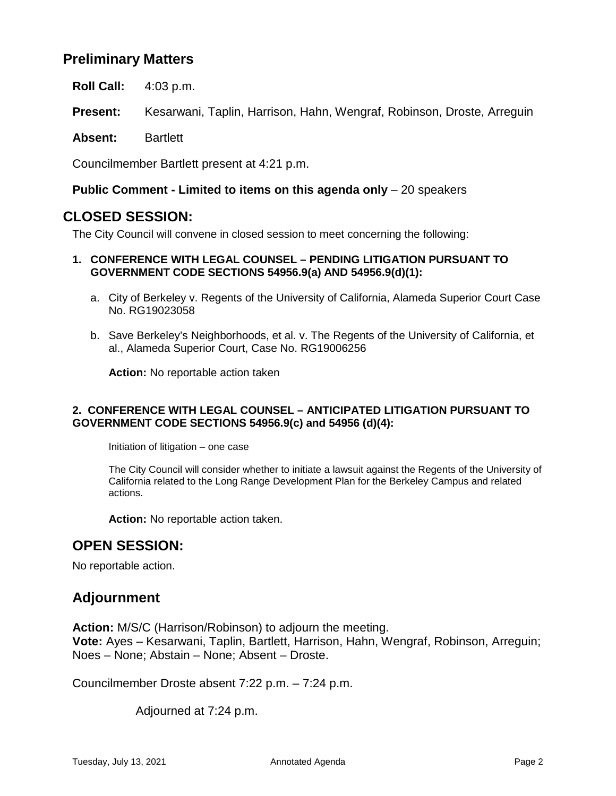## **Preliminary Matters**

**Roll Call:** 4:03 p.m.

**Present:** Kesarwani, Taplin, Harrison, Hahn, Wengraf, Robinson, Droste, Arreguin

**Absent:** Bartlett

Councilmember Bartlett present at 4:21 p.m.

#### **Public Comment - Limited to items on this agenda only** – 20 speakers

### **CLOSED SESSION:**

The City Council will convene in closed session to meet concerning the following:

- **1. CONFERENCE WITH LEGAL COUNSEL – PENDING LITIGATION PURSUANT TO GOVERNMENT CODE SECTIONS 54956.9(a) AND 54956.9(d)(1):**
	- a. City of Berkeley v. Regents of the University of California, Alameda Superior Court Case No. RG19023058
	- b. Save Berkeley's Neighborhoods, et al. v. The Regents of the University of California, et al., Alameda Superior Court, Case No. RG19006256

**Action:** No reportable action taken

#### **2. CONFERENCE WITH LEGAL COUNSEL – ANTICIPATED LITIGATION PURSUANT TO GOVERNMENT CODE SECTIONS 54956.9(c) and 54956 (d)(4):**

Initiation of litigation – one case

The City Council will consider whether to initiate a lawsuit against the Regents of the University of California related to the Long Range Development Plan for the Berkeley Campus and related actions.

**Action:** No reportable action taken.

## **OPEN SESSION:**

No reportable action.

### **Adjournment**

**Action:** M/S/C (Harrison/Robinson) to adjourn the meeting. **Vote:** Ayes – Kesarwani, Taplin, Bartlett, Harrison, Hahn, Wengraf, Robinson, Arreguin; Noes – None; Abstain – None; Absent – Droste.

Councilmember Droste absent 7:22 p.m. – 7:24 p.m.

Adjourned at 7:24 p.m.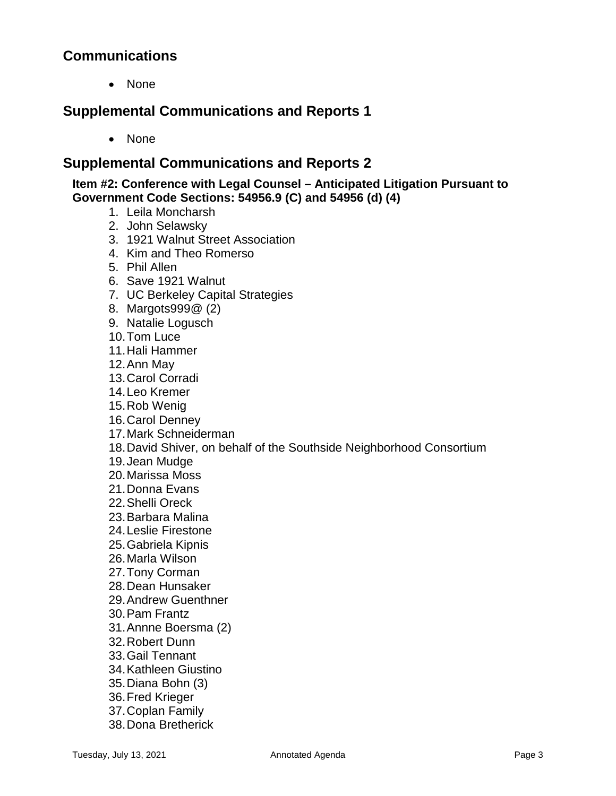# **Communications**

• None

# **Supplemental Communications and Reports 1**

• None

## **Supplemental Communications and Reports 2**

#### **Item #2: Conference with Legal Counsel – Anticipated Litigation Pursuant to Government Code Sections: 54956.9 (C) and 54956 (d) (4)**

- 1. Leila Moncharsh
- 2. John Selawsky
- 3. 1921 Walnut Street Association
- 4. Kim and Theo Romerso
- 5. Phil Allen
- 6. Save 1921 Walnut
- 7. UC Berkeley Capital Strategies
- 8. Margots999@ (2)
- 9. Natalie Logusch
- 10.Tom Luce
- 11.Hali Hammer
- 12.Ann May
- 13.Carol Corradi
- 14.Leo Kremer
- 15.Rob Wenig
- 16.Carol Denney
- 17.Mark Schneiderman
- 18.David Shiver, on behalf of the Southside Neighborhood Consortium
- 19.Jean Mudge
- 20.Marissa Moss
- 21.Donna Evans
- 22.Shelli Oreck
- 23.Barbara Malina
- 24.Leslie Firestone
- 25.Gabriela Kipnis
- 26.Marla Wilson
- 27.Tony Corman
- 28.Dean Hunsaker
- 29.Andrew Guenthner
- 30.Pam Frantz
- 31.Annne Boersma (2)
- 32.Robert Dunn
- 33.Gail Tennant
- 34.Kathleen Giustino
- 35.Diana Bohn (3)
- 36.Fred Krieger
- 37.Coplan Family
- 38.Dona Bretherick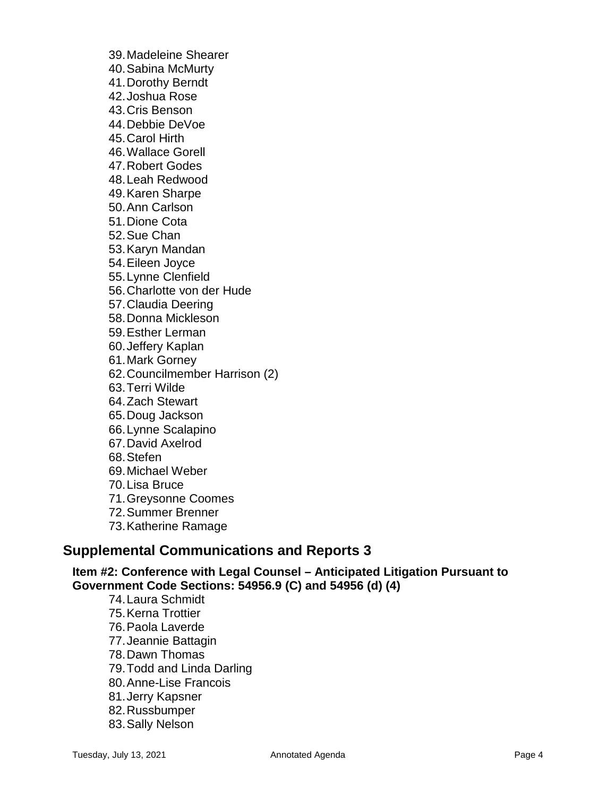39.Madeleine Shearer

- 40.Sabina McMurty
- 41.Dorothy Berndt
- 42.Joshua Rose
- 43.Cris Benson
- 44.Debbie DeVoe
- 45.Carol Hirth
- 46.Wallace Gorell
- 47.Robert Godes
- 48.Leah Redwood
- 49.Karen Sharpe
- 50.Ann Carlson
- 51.Dione Cota
- 52.Sue Chan
- 53.Karyn Mandan
- 54.Eileen Joyce
- 55.Lynne Clenfield
- 56.Charlotte von der Hude
- 57.Claudia Deering
- 58.Donna Mickleson
- 59.Esther Lerman
- 60.Jeffery Kaplan
- 61.Mark Gorney
- 62.Councilmember Harrison (2)
- 63.Terri Wilde
- 64.Zach Stewart
- 65.Doug Jackson
- 66.Lynne Scalapino
- 67.David Axelrod
- 68.Stefen
- 69.Michael Weber
- 70.Lisa Bruce
- 71.Greysonne Coomes
- 72.Summer Brenner
- 73.Katherine Ramage

### **Supplemental Communications and Reports 3**

#### **Item #2: Conference with Legal Counsel – Anticipated Litigation Pursuant to Government Code Sections: 54956.9 (C) and 54956 (d) (4)**

74.Laura Schmidt 75.Kerna Trottier 76.Paola Laverde 77.Jeannie Battagin 78.Dawn Thomas 79.Todd and Linda Darling 80.Anne-Lise Francois 81.Jerry Kapsner 82.Russbumper 83.Sally Nelson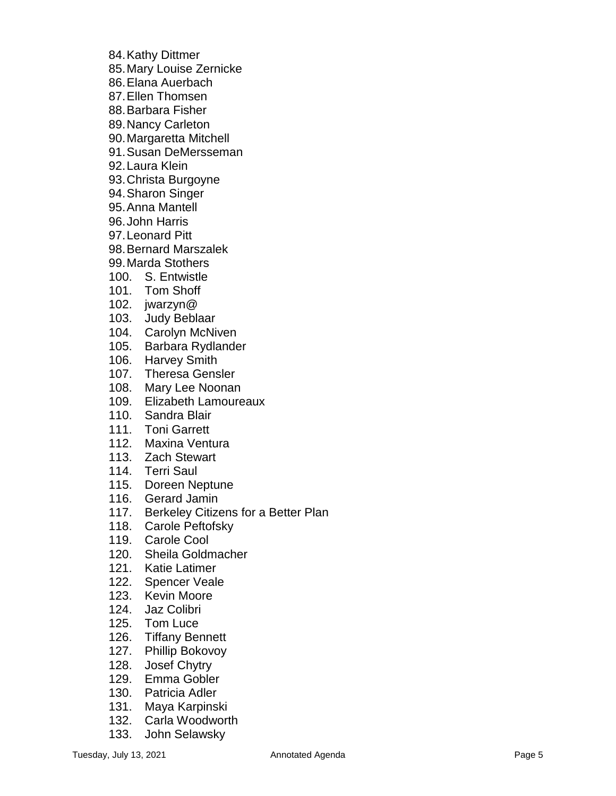84.Kathy Dittmer

- 85.Mary Louise Zernicke
- 86.Elana Auerbach
- 87.Ellen Thomsen
- 88.Barbara Fisher
- 89.Nancy Carleton
- 90.Margaretta Mitchell
- 91.Susan DeMersseman
- 92.Laura Klein
- 93.Christa Burgoyne
- 94.Sharon Singer
- 95.Anna Mantell
- 96.John Harris
- 97.Leonard Pitt
- 98.Bernard Marszalek
- 99.Marda Stothers
- 100. S. Entwistle
- 101. Tom Shoff
- 102. jwarzyn@
- 103. Judy Beblaar
- 104. Carolyn McNiven
- 105. Barbara Rydlander
- 106. Harvey Smith
- 107. Theresa Gensler
- 108. Mary Lee Noonan
- 109. Elizabeth Lamoureaux
- 110. Sandra Blair
- 111. Toni Garrett
- 112. Maxina Ventura
- 113. Zach Stewart
- 114. Terri Saul
- 115. Doreen Neptune
- 116. Gerard Jamin
- 117. Berkeley Citizens for a Better Plan
- 118. Carole Peftofsky
- 119. Carole Cool
- 120. Sheila Goldmacher
- 121. Katie Latimer
- 122. Spencer Veale
- 123. Kevin Moore
- 124. Jaz Colibri
- 125. Tom Luce
- 126. Tiffany Bennett
- 127. Phillip Bokovoy
- 128. Josef Chytry
- 129. Emma Gobler
- 130. Patricia Adler
- 131. Maya Karpinski
- 132. Carla Woodworth
- 133. John Selawsky